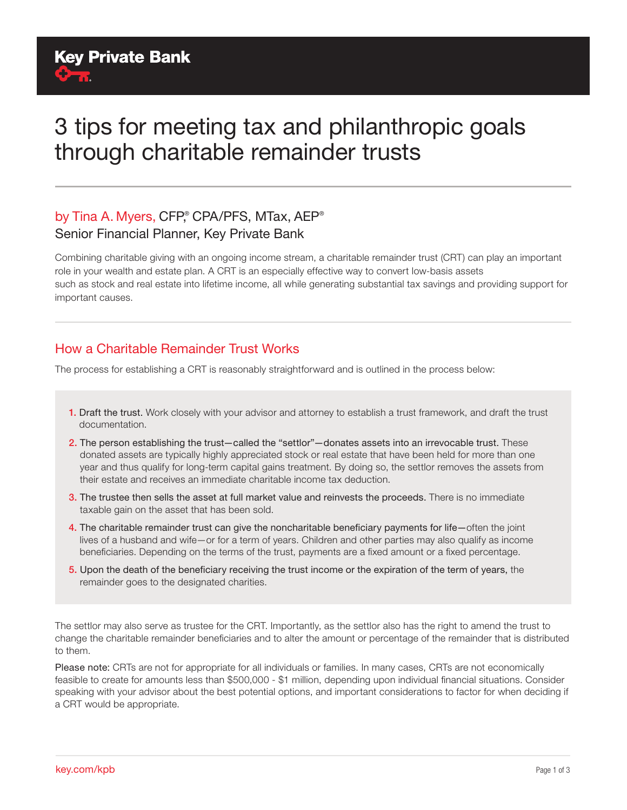# 3 tips for meeting tax and philanthropic goals through charitable remainder trusts

### by Tina A. Myers, CFP,® CPA/PFS, MTax, AEP® Senior Financial Planner, Key Private Bank

Combining charitable giving with an ongoing income stream, a charitable remainder trust (CRT) can play an important role in your wealth and estate plan. A CRT is an especially effective way to convert low-basis assets such as stock and real estate into lifetime income, all while generating substantial tax savings and providing support for important causes.

#### How a Charitable Remainder Trust Works

The process for establishing a CRT is reasonably straightforward and is outlined in the process below:

- 1. Draft the trust. Work closely with your advisor and attorney to establish a trust framework, and draft the trust documentation.
- 2. The person establishing the trust-called the "settlor"-donates assets into an irrevocable trust. These donated assets are typically highly appreciated stock or real estate that have been held for more than one year and thus qualify for long-term capital gains treatment. By doing so, the settlor removes the assets from their estate and receives an immediate charitable income tax deduction.
- 3. The trustee then sells the asset at full market value and reinvests the proceeds. There is no immediate taxable gain on the asset that has been sold.
- 4. The charitable remainder trust can give the noncharitable beneficiary payments for life—often the joint lives of a husband and wife—or for a term of years. Children and other parties may also qualify as income beneficiaries. Depending on the terms of the trust, payments are a fixed amount or a fixed percentage.
- 5. Upon the death of the beneficiary receiving the trust income or the expiration of the term of years, the remainder goes to the designated charities.

The settlor may also serve as trustee for the CRT. Importantly, as the settlor also has the right to amend the trust to change the charitable remainder beneficiaries and to alter the amount or percentage of the remainder that is distributed to them.

Please note: CRTs are not for appropriate for all individuals or families. In many cases, CRTs are not economically feasible to create for amounts less than \$500,000 - \$1 million, depending upon individual financial situations. Consider speaking with your advisor about the best potential options, and important considerations to factor for when deciding if a CRT would be appropriate.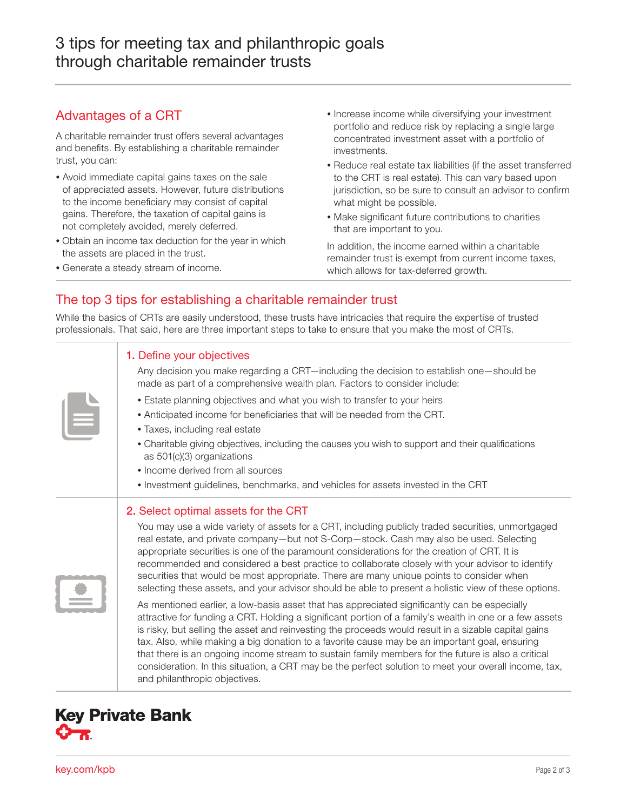#### Advantages of a CRT

A charitable remainder trust offers several advantages and benefits. By establishing a charitable remainder trust, you can:

- Avoid immediate capital gains taxes on the sale of appreciated assets. However, future distributions to the income beneficiary may consist of capital gains. Therefore, the taxation of capital gains is not completely avoided, merely deferred.
- Obtain an income tax deduction for the year in which the assets are placed in the trust.
- Generate a steady stream of income.
- Increase income while diversifying your investment portfolio and reduce risk by replacing a single large concentrated investment asset with a portfolio of investments.
- Reduce real estate tax liabilities (if the asset transferred to the CRT is real estate). This can vary based upon jurisdiction, so be sure to consult an advisor to confirm what might be possible.
- Make significant future contributions to charities that are important to you.

In addition, the income earned within a charitable remainder trust is exempt from current income taxes, which allows for tax-deferred growth.

#### The top 3 tips for establishing a charitable remainder trust

While the basics of CRTs are easily understood, these trusts have intricacies that require the expertise of trusted professionals. That said, here are three important steps to take to ensure that you make the most of CRTs.

| 1. Define your objectives<br>Any decision you make regarding a CRT—including the decision to establish one—should be<br>made as part of a comprehensive wealth plan. Factors to consider include:<br>• Estate planning objectives and what you wish to transfer to your heirs<br>• Anticipated income for beneficiaries that will be needed from the CRT.<br>• Taxes, including real estate<br>• Charitable giving objectives, including the causes you wish to support and their qualifications<br>as 501(c)(3) organizations<br>• Income derived from all sources<br>• Investment guidelines, benchmarks, and vehicles for assets invested in the CRT                                                                                                                                                                                                                                                                                                                                                                                                                                                                                                                                                                                                                        |
|--------------------------------------------------------------------------------------------------------------------------------------------------------------------------------------------------------------------------------------------------------------------------------------------------------------------------------------------------------------------------------------------------------------------------------------------------------------------------------------------------------------------------------------------------------------------------------------------------------------------------------------------------------------------------------------------------------------------------------------------------------------------------------------------------------------------------------------------------------------------------------------------------------------------------------------------------------------------------------------------------------------------------------------------------------------------------------------------------------------------------------------------------------------------------------------------------------------------------------------------------------------------------------|
| 2. Select optimal assets for the CRT<br>You may use a wide variety of assets for a CRT, including publicly traded securities, unmortgaged<br>real estate, and private company-but not S-Corp-stock. Cash may also be used. Selecting<br>appropriate securities is one of the paramount considerations for the creation of CRT. It is<br>recommended and considered a best practice to collaborate closely with your advisor to identify<br>securities that would be most appropriate. There are many unique points to consider when<br>selecting these assets, and your advisor should be able to present a holistic view of these options.<br>As mentioned earlier, a low-basis asset that has appreciated significantly can be especially<br>attractive for funding a CRT. Holding a significant portion of a family's wealth in one or a few assets<br>is risky, but selling the asset and reinvesting the proceeds would result in a sizable capital gains<br>tax. Also, while making a big donation to a favorite cause may be an important goal, ensuring<br>that there is an ongoing income stream to sustain family members for the future is also a critical<br>consideration. In this situation, a CRT may be the perfect solution to meet your overall income, tax, |



and philanthropic objectives.